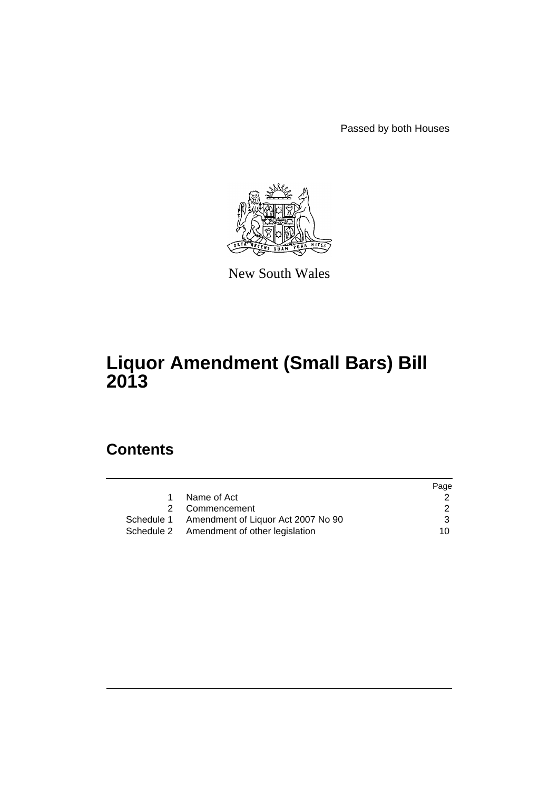Passed by both Houses



New South Wales

# **Liquor Amendment (Small Bars) Bill 2013**

# **Contents**

|             |                                               | Page |
|-------------|-----------------------------------------------|------|
| $\mathbf 1$ | Name of Act                                   |      |
|             | 2 Commencement                                | 2    |
|             | Schedule 1 Amendment of Liquor Act 2007 No 90 | 3    |
|             | Schedule 2 Amendment of other legislation     | 10.  |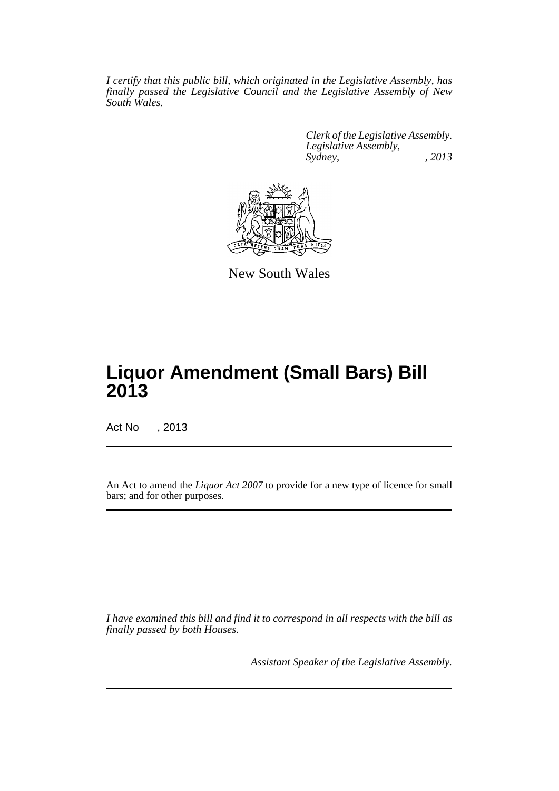*I certify that this public bill, which originated in the Legislative Assembly, has finally passed the Legislative Council and the Legislative Assembly of New South Wales.*

> *Clerk of the Legislative Assembly. Legislative Assembly, Sydney, , 2013*



New South Wales

# **Liquor Amendment (Small Bars) Bill 2013**

Act No , 2013

An Act to amend the *Liquor Act 2007* to provide for a new type of licence for small bars; and for other purposes.

*I have examined this bill and find it to correspond in all respects with the bill as finally passed by both Houses.*

*Assistant Speaker of the Legislative Assembly.*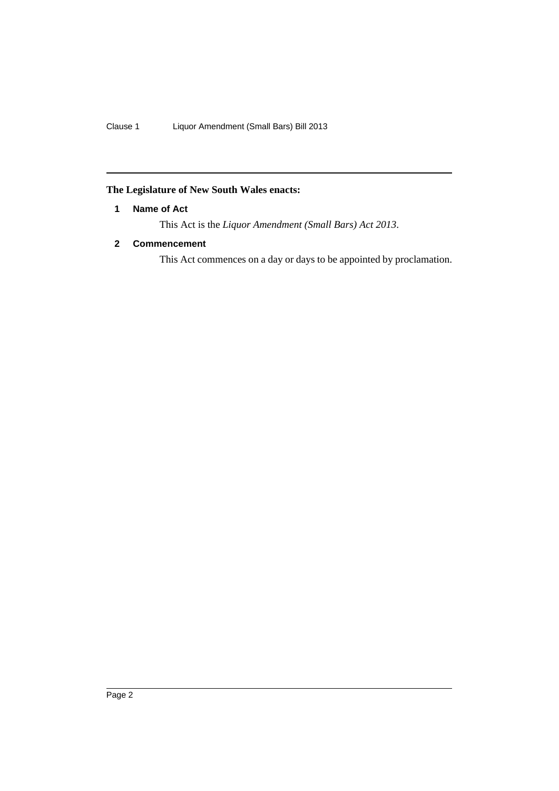# <span id="page-3-0"></span>**The Legislature of New South Wales enacts:**

# **1 Name of Act**

This Act is the *Liquor Amendment (Small Bars) Act 2013*.

# <span id="page-3-1"></span>**2 Commencement**

This Act commences on a day or days to be appointed by proclamation.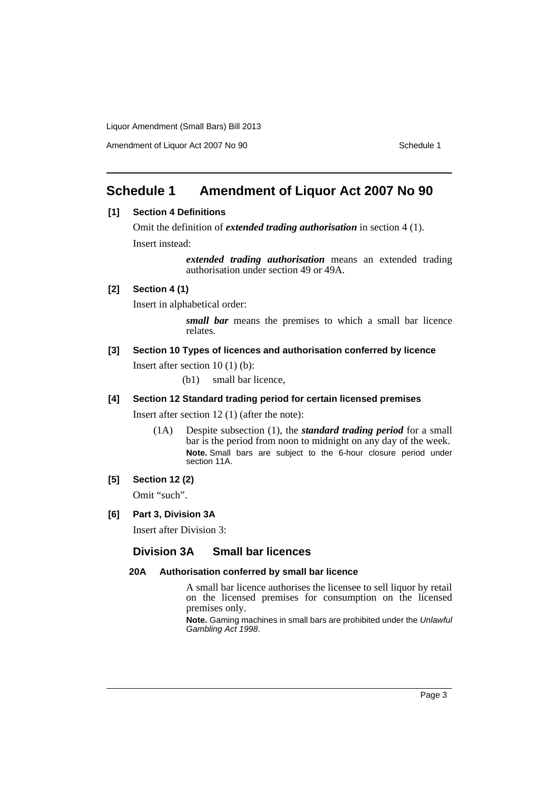Amendment of Liquor Act 2007 No 90 Schedule 1

# <span id="page-4-0"></span>**Schedule 1 Amendment of Liquor Act 2007 No 90**

# **[1] Section 4 Definitions**

Omit the definition of *extended trading authorisation* in section 4 (1). Insert instead:

> *extended trading authorisation* means an extended trading authorisation under section 49 or 49A.

# **[2] Section 4 (1)**

Insert in alphabetical order:

*small bar* means the premises to which a small bar licence relates.

# **[3] Section 10 Types of licences and authorisation conferred by licence**

Insert after section 10 (1) (b):

(b1) small bar licence,

# **[4] Section 12 Standard trading period for certain licensed premises**

Insert after section 12 (1) (after the note):

(1A) Despite subsection (1), the *standard trading period* for a small bar is the period from noon to midnight on any day of the week. **Note.** Small bars are subject to the 6-hour closure period under section 11A.

# **[5] Section 12 (2)**

Omit "such".

## **[6] Part 3, Division 3A**

Insert after Division 3:

# **Division 3A Small bar licences**

### **20A Authorisation conferred by small bar licence**

A small bar licence authorises the licensee to sell liquor by retail on the licensed premises for consumption on the licensed premises only.

**Note.** Gaming machines in small bars are prohibited under the *Unlawful Gambling Act 1998*.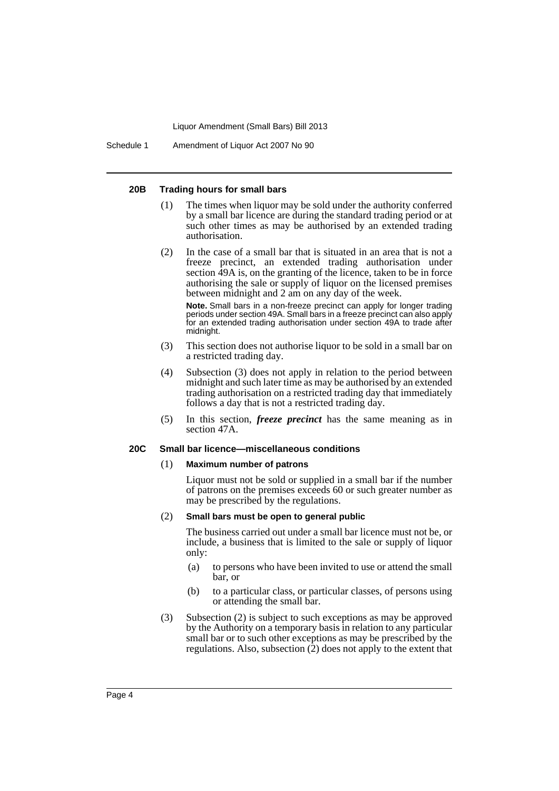Schedule 1 Amendment of Liquor Act 2007 No 90

#### **20B Trading hours for small bars**

- (1) The times when liquor may be sold under the authority conferred by a small bar licence are during the standard trading period or at such other times as may be authorised by an extended trading authorisation.
- (2) In the case of a small bar that is situated in an area that is not a freeze precinct, an extended trading authorisation under section 49A is, on the granting of the licence, taken to be in force authorising the sale or supply of liquor on the licensed premises between midnight and 2 am on any day of the week.

**Note.** Small bars in a non-freeze precinct can apply for longer trading periods under section 49A. Small bars in a freeze precinct can also apply for an extended trading authorisation under section 49A to trade after midnight.

- (3) This section does not authorise liquor to be sold in a small bar on a restricted trading day.
- (4) Subsection (3) does not apply in relation to the period between midnight and such later time as may be authorised by an extended trading authorisation on a restricted trading day that immediately follows a day that is not a restricted trading day.
- (5) In this section, *freeze precinct* has the same meaning as in section 47A.

# **20C Small bar licence—miscellaneous conditions**

#### (1) **Maximum number of patrons**

Liquor must not be sold or supplied in a small bar if the number of patrons on the premises exceeds 60 or such greater number as may be prescribed by the regulations.

#### (2) **Small bars must be open to general public**

The business carried out under a small bar licence must not be, or include, a business that is limited to the sale or supply of liquor only:

- (a) to persons who have been invited to use or attend the small bar, or
- (b) to a particular class, or particular classes, of persons using or attending the small bar.
- (3) Subsection (2) is subject to such exceptions as may be approved by the Authority on a temporary basis in relation to any particular small bar or to such other exceptions as may be prescribed by the regulations. Also, subsection  $(2)$  does not apply to the extent that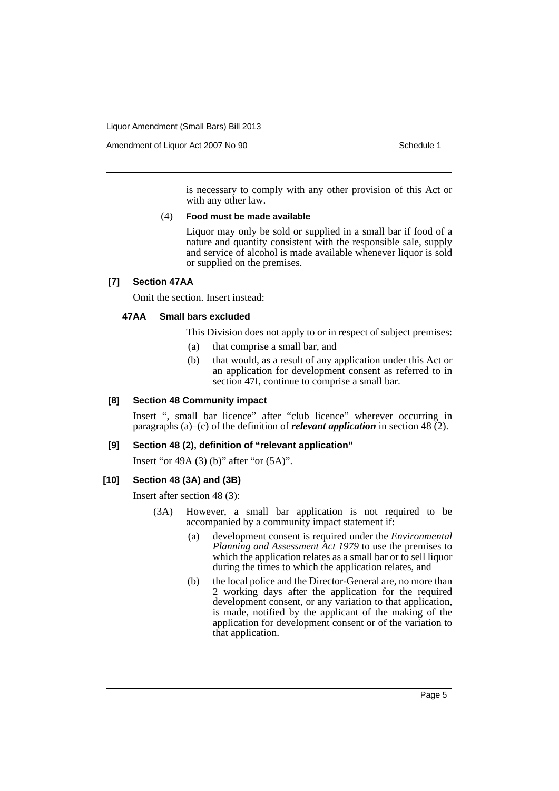Amendment of Liquor Act 2007 No 90 Schedule 1

is necessary to comply with any other provision of this Act or with any other law.

#### (4) **Food must be made available**

Liquor may only be sold or supplied in a small bar if food of a nature and quantity consistent with the responsible sale, supply and service of alcohol is made available whenever liquor is sold or supplied on the premises.

# **[7] Section 47AA**

Omit the section. Insert instead:

#### **47AA Small bars excluded**

This Division does not apply to or in respect of subject premises:

- (a) that comprise a small bar, and
- (b) that would, as a result of any application under this Act or an application for development consent as referred to in section 47I, continue to comprise a small bar.

### **[8] Section 48 Community impact**

Insert ", small bar licence" after "club licence" wherever occurring in paragraphs (a)–(c) of the definition of *relevant application* in section 48 (2).

#### **[9] Section 48 (2), definition of "relevant application"**

Insert "or 49A (3) (b)" after "or (5A)".

### **[10] Section 48 (3A) and (3B)**

Insert after section 48 (3):

- (3A) However, a small bar application is not required to be accompanied by a community impact statement if:
	- (a) development consent is required under the *Environmental Planning and Assessment Act 1979* to use the premises to which the application relates as a small bar or to sell liquor during the times to which the application relates, and
	- (b) the local police and the Director-General are, no more than 2 working days after the application for the required development consent, or any variation to that application, is made, notified by the applicant of the making of the application for development consent or of the variation to that application.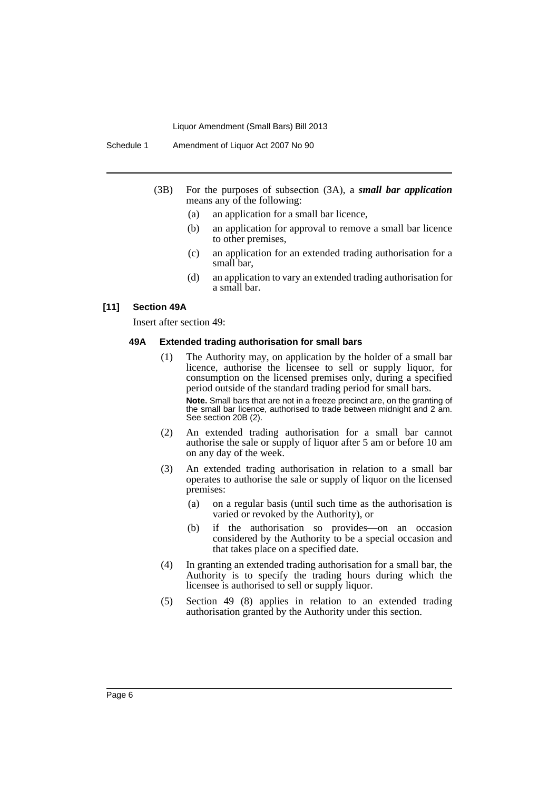- (3B) For the purposes of subsection (3A), a *small bar application* means any of the following:
	- (a) an application for a small bar licence,
	- (b) an application for approval to remove a small bar licence to other premises,
	- (c) an application for an extended trading authorisation for a small bar,
	- (d) an application to vary an extended trading authorisation for a small bar.

## **[11] Section 49A**

Insert after section 49:

#### **49A Extended trading authorisation for small bars**

- (1) The Authority may, on application by the holder of a small bar licence, authorise the licensee to sell or supply liquor, for consumption on the licensed premises only, during a specified period outside of the standard trading period for small bars. **Note.** Small bars that are not in a freeze precinct are, on the granting of the small bar licence, authorised to trade between midnight and 2 am. See section 20B (2).
- (2) An extended trading authorisation for a small bar cannot authorise the sale or supply of liquor after 5 am or before 10 am on any day of the week.
- (3) An extended trading authorisation in relation to a small bar operates to authorise the sale or supply of liquor on the licensed premises:
	- (a) on a regular basis (until such time as the authorisation is varied or revoked by the Authority), or
	- (b) if the authorisation so provides—on an occasion considered by the Authority to be a special occasion and that takes place on a specified date.
- (4) In granting an extended trading authorisation for a small bar, the Authority is to specify the trading hours during which the licensee is authorised to sell or supply liquor.
- (5) Section 49 (8) applies in relation to an extended trading authorisation granted by the Authority under this section.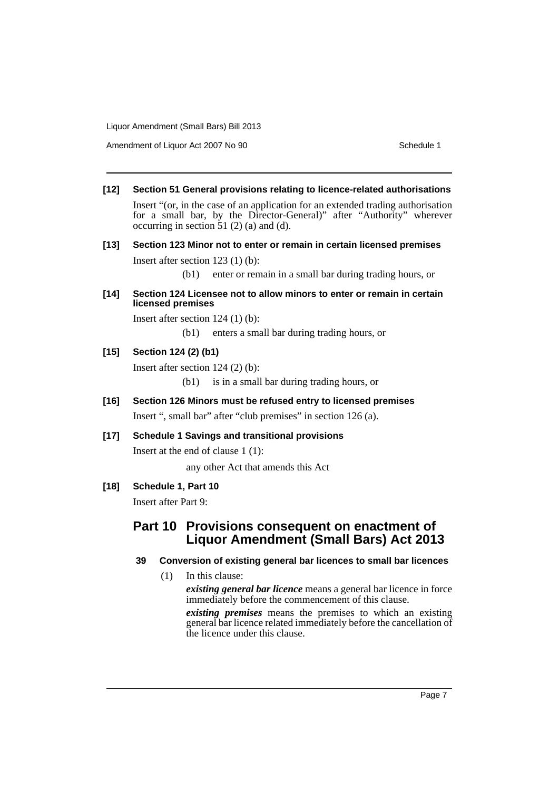Amendment of Liquor Act 2007 No 90 Schedule 1

## **[12] Section 51 General provisions relating to licence-related authorisations**

Insert "(or, in the case of an application for an extended trading authorisation for a small bar, by the Director-General)" after "Authority" wherever occurring in section  $51(2)$  (a) and (d).

# **[13] Section 123 Minor not to enter or remain in certain licensed premises**

Insert after section 123 (1) (b):

(b1) enter or remain in a small bar during trading hours, or

# **[14] Section 124 Licensee not to allow minors to enter or remain in certain licensed premises**

Insert after section 124 (1) (b):

(b1) enters a small bar during trading hours, or

# **[15] Section 124 (2) (b1)**

Insert after section 124 (2) (b):

(b1) is in a small bar during trading hours, or

# **[16] Section 126 Minors must be refused entry to licensed premises** Insert ", small bar" after "club premises" in section 126 (a).

# **[17] Schedule 1 Savings and transitional provisions**

Insert at the end of clause 1 (1):

any other Act that amends this Act

# **[18] Schedule 1, Part 10**

Insert after Part 9:

# **Part 10 Provisions consequent on enactment of Liquor Amendment (Small Bars) Act 2013**

# **39 Conversion of existing general bar licences to small bar licences**

(1) In this clause:

*existing general bar licence* means a general bar licence in force immediately before the commencement of this clause.

*existing premises* means the premises to which an existing general bar licence related immediately before the cancellation of the licence under this clause.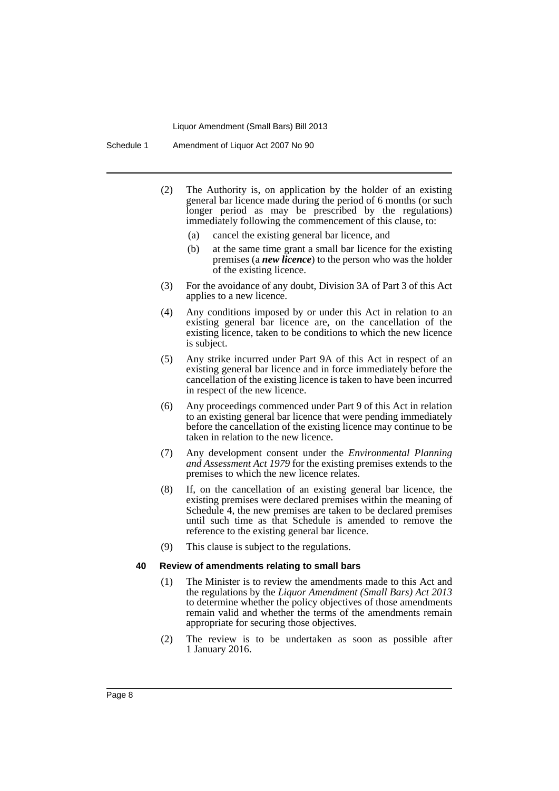Schedule 1 Amendment of Liquor Act 2007 No 90

- (2) The Authority is, on application by the holder of an existing general bar licence made during the period of 6 months (or such longer period as may be prescribed by the regulations) immediately following the commencement of this clause, to:
	- (a) cancel the existing general bar licence, and
	- (b) at the same time grant a small bar licence for the existing premises (a *new licence*) to the person who was the holder of the existing licence.
- (3) For the avoidance of any doubt, Division 3A of Part 3 of this Act applies to a new licence.
- (4) Any conditions imposed by or under this Act in relation to an existing general bar licence are, on the cancellation of the existing licence, taken to be conditions to which the new licence is subject.
- (5) Any strike incurred under Part 9A of this Act in respect of an existing general bar licence and in force immediately before the cancellation of the existing licence is taken to have been incurred in respect of the new licence.
- (6) Any proceedings commenced under Part 9 of this Act in relation to an existing general bar licence that were pending immediately before the cancellation of the existing licence may continue to be taken in relation to the new licence.
- (7) Any development consent under the *Environmental Planning and Assessment Act 1979* for the existing premises extends to the premises to which the new licence relates.
- (8) If, on the cancellation of an existing general bar licence, the existing premises were declared premises within the meaning of Schedule 4, the new premises are taken to be declared premises until such time as that Schedule is amended to remove the reference to the existing general bar licence.
- (9) This clause is subject to the regulations.

#### **40 Review of amendments relating to small bars**

- (1) The Minister is to review the amendments made to this Act and the regulations by the *Liquor Amendment (Small Bars) Act 2013* to determine whether the policy objectives of those amendments remain valid and whether the terms of the amendments remain appropriate for securing those objectives.
- (2) The review is to be undertaken as soon as possible after 1 January 2016.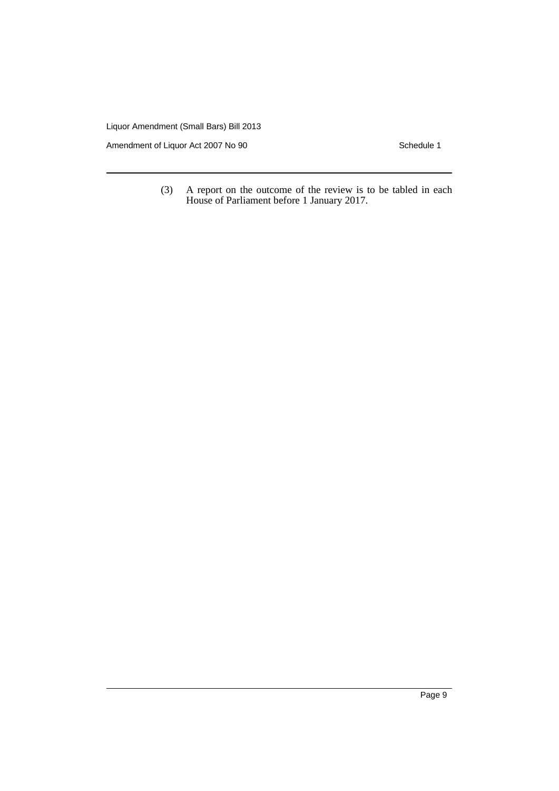Amendment of Liquor Act 2007 No 90 Schedule 1

(3) A report on the outcome of the review is to be tabled in each House of Parliament before 1 January 2017.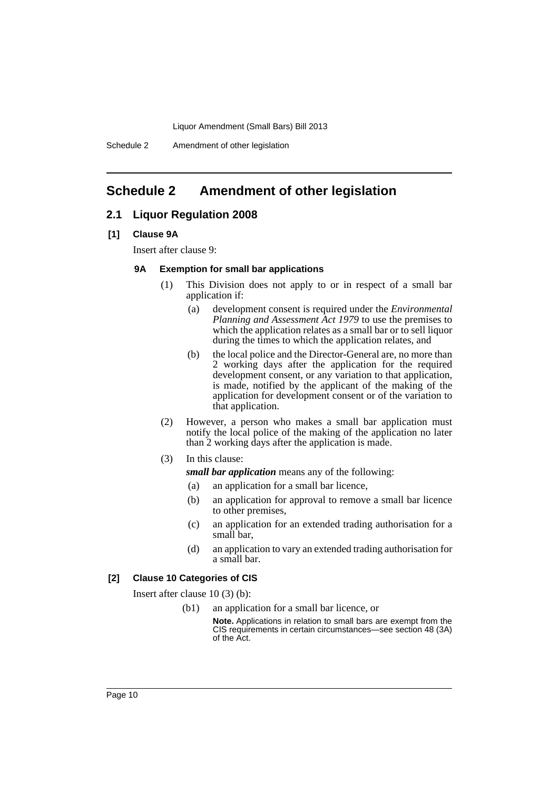Schedule 2 Amendment of other legislation

# <span id="page-11-0"></span>**Schedule 2 Amendment of other legislation**

## **2.1 Liquor Regulation 2008**

#### **[1] Clause 9A**

Insert after clause 9:

#### **9A Exemption for small bar applications**

- (1) This Division does not apply to or in respect of a small bar application if:
	- (a) development consent is required under the *Environmental Planning and Assessment Act 1979* to use the premises to which the application relates as a small bar or to sell liquor during the times to which the application relates, and
	- (b) the local police and the Director-General are, no more than 2 working days after the application for the required development consent, or any variation to that application, is made, notified by the applicant of the making of the application for development consent or of the variation to that application.
- (2) However, a person who makes a small bar application must notify the local police of the making of the application no later than 2 working days after the application is made.
- (3) In this clause:

*small bar application* means any of the following:

- (a) an application for a small bar licence,
- (b) an application for approval to remove a small bar licence to other premises,
- (c) an application for an extended trading authorisation for a small bar,
- (d) an application to vary an extended trading authorisation for a small bar.

## **[2] Clause 10 Categories of CIS**

Insert after clause 10 (3) (b):

- (b1) an application for a small bar licence, or
	- **Note.** Applications in relation to small bars are exempt from the CIS requirements in certain circumstances—see section 48 (3A) of the Act.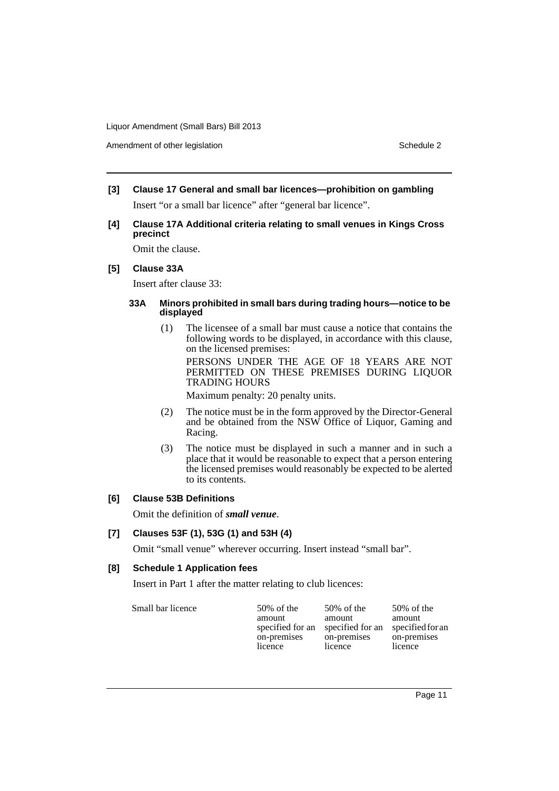Amendment of other legislation Schedule 2

- **[3] Clause 17 General and small bar licences—prohibition on gambling** Insert "or a small bar licence" after "general bar licence".
- **[4] Clause 17A Additional criteria relating to small venues in Kings Cross precinct**

Omit the clause.

### **[5] Clause 33A**

Insert after clause 33:

### **33A Minors prohibited in small bars during trading hours—notice to be displayed**

(1) The licensee of a small bar must cause a notice that contains the following words to be displayed, in accordance with this clause, on the licensed premises:

PERSONS UNDER THE AGE OF 18 YEARS ARE NOT PERMITTED ON THESE PREMISES DURING LIQUOR TRADING HOURS

Maximum penalty: 20 penalty units.

- (2) The notice must be in the form approved by the Director-General and be obtained from the NSW Office of Liquor, Gaming and Racing.
- (3) The notice must be displayed in such a manner and in such a place that it would be reasonable to expect that a person entering the licensed premises would reasonably be expected to be alerted to its contents.

### **[6] Clause 53B Definitions**

Omit the definition of *small venue*.

# **[7] Clauses 53F (1), 53G (1) and 53H (4)**

Omit "small venue" wherever occurring. Insert instead "small bar".

### **[8] Schedule 1 Application fees**

Insert in Part 1 after the matter relating to club licences:

| Small bar licence<br>$50\%$ of the<br>amount<br>specified for an<br>on-premises<br>licence | $50\%$ of the<br>amount<br>specified for an<br>on-premises<br>licence | $50\%$ of the<br>amount<br>specified for an<br>on-premises<br>licence |
|--------------------------------------------------------------------------------------------|-----------------------------------------------------------------------|-----------------------------------------------------------------------|
|--------------------------------------------------------------------------------------------|-----------------------------------------------------------------------|-----------------------------------------------------------------------|